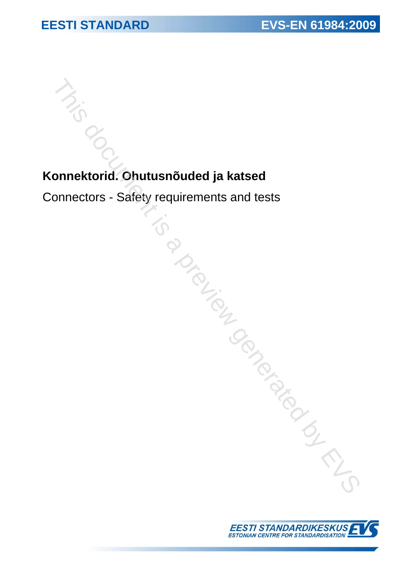# **Konnektorid. Ohutusnõuded ja katsed<br>Konnektorid. Ohutusnõuded ja katsed**

Connectors - Safety requirements and tests<br>
This document is and tests This document is and tests and tests and tests and tests and tests and tests are set of the connection of the connection of the connection of the conne

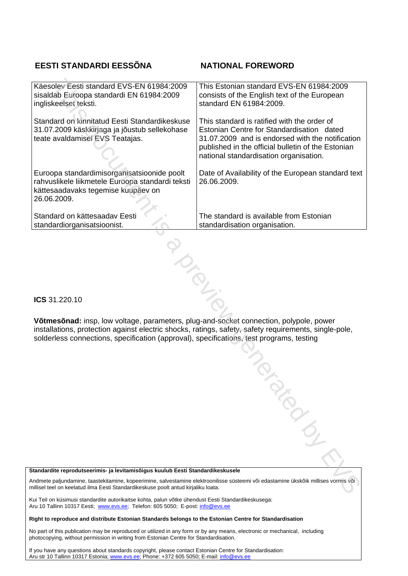# **EESTI STANDARDI EESSÕNA NATIONAL FOREWORD**

| Käesolev Eesti standard EVS-EN 61984:2009<br>sisaldab Euroopa standardi EN 61984:2009<br>ingliskeelset teksti.                                                                                                                                                                              | This Estonian standard EVS-EN 61984:2009<br>consists of the English text of the European<br>standard EN 61984:2009.                                                                                                                          |
|---------------------------------------------------------------------------------------------------------------------------------------------------------------------------------------------------------------------------------------------------------------------------------------------|----------------------------------------------------------------------------------------------------------------------------------------------------------------------------------------------------------------------------------------------|
| Standard on kinnitatud Eesti Standardikeskuse<br>31.07.2009 käskkirjaga ja jõustub sellekohase<br>teate avaldamisel EVS Teatajas.                                                                                                                                                           | This standard is ratified with the order of<br>Estonian Centre for Standardisation dated<br>31.07.2009 and is endorsed with the notification<br>published in the official bulletin of the Estonian<br>national standardisation organisation. |
| Euroopa standardimisorganisatsioonide poolt<br>rahvuslikele liikmetele Euroopa standardi teksti<br>kättesaadavaks tegemise kuupäev on<br>26.06.2009.                                                                                                                                        | Date of Availability of the European standard text<br>26.06.2009.                                                                                                                                                                            |
| Standard on kättesaadav Eesti<br>standardiorganisatsioonist.                                                                                                                                                                                                                                | The standard is available from Estonian<br>standardisation organisation.                                                                                                                                                                     |
|                                                                                                                                                                                                                                                                                             |                                                                                                                                                                                                                                              |
| ICS 31.220.10                                                                                                                                                                                                                                                                               |                                                                                                                                                                                                                                              |
| Võtmesõnad: insp, low voltage, parameters, plug-and-socket connection, polypole, power<br>installations, protection against electric shocks, ratings, safety, safety requirements, single-pole,<br>solderless connections, specification (approval), specifications, test programs, testing |                                                                                                                                                                                                                                              |
|                                                                                                                                                                                                                                                                                             |                                                                                                                                                                                                                                              |
|                                                                                                                                                                                                                                                                                             |                                                                                                                                                                                                                                              |
|                                                                                                                                                                                                                                                                                             |                                                                                                                                                                                                                                              |
|                                                                                                                                                                                                                                                                                             |                                                                                                                                                                                                                                              |
|                                                                                                                                                                                                                                                                                             | PIEST CR                                                                                                                                                                                                                                     |
|                                                                                                                                                                                                                                                                                             |                                                                                                                                                                                                                                              |
| Standardite reprodutseerimis- ja levitamisõigus kuulub Eesti Standardikeskusele<br>Andmete paljundamine, taastekitamine, kopeerimine, salvestamine elektroonilisse süsteemi või edastamine ükskõik millises vormis või                                                                      |                                                                                                                                                                                                                                              |
| nillisel teel on keelatud ilma Eesti Standardikeskuse poolt antud kirjaliku loata.                                                                                                                                                                                                          |                                                                                                                                                                                                                                              |

# **Standardite reprodutseerimis- ja levitamisõigus kuulub Eesti Standardikeskusele**

Kui Teil on küsimusi standardite autorikaitse kohta, palun võtke ühendust Eesti Standardikeskusega: Aru 10 Tallinn 10317 Eesti; www.evs.ee; Telefon: 605 5050; E-post: info@evs.ee

# **Right to reproduce and distribute Estonian Standards belongs to the Estonian Centre for Standardisation**

No part of this publication may be reproduced or utilized in any form or by any means, electronic or mechanical, including photocopying, without permission in writing from Estonian Centre for Standardisation.

If you have any questions about standards copyright, please contact Estonian Centre for Standardisation: Aru str 10 Tallinn 10317 Estonia; www.evs.ee; Phone: +372 605 5050; E-mail: info@evs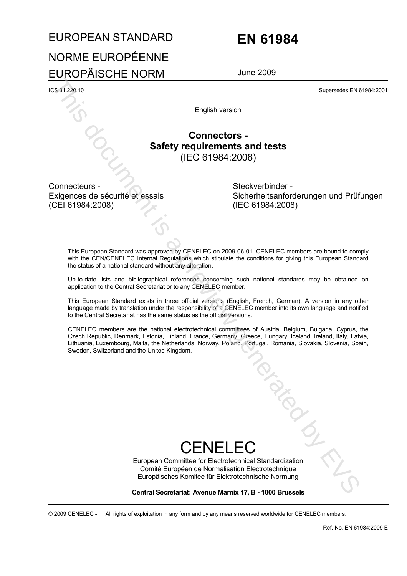# EUROPEAN STANDARD **EN 61984** NORME EUROPÉENNE EUROPÄISCHE NORM June 2009

ICS 31.220.10 Supersedes EN 61984:2001

English version

# **Connectors - Safety requirements and tests**  (IEC 61984:2008)

Connecteurs - Exigences de sécurité et essais (CEI 61984:2008)

 Steckverbinder - Sicherheitsanforderungen und Prüfungen (IEC 61984:2008)

This European Standard was approved by CENELEC on 2009-06-01. CENELEC members are bound to comply with the CEN/CENELEC Internal Regulations which stipulate the conditions for giving this European Standard the status of a national standard without any alteration.

Up-to-date lists and bibliographical references concerning such national standards may be obtained on application to the Central Secretariat or to any CENELEC member.

This European Standard exists in three official versions (English, French, German). A version in any other language made by translation under the responsibility of a CENELEC member into its own language and notified to the Central Secretariat has the same status as the official versions.

CENELEC members are the national electrotechnical committees of Austria, Belgium, Bulgaria, Cyprus, the Czech Republic, Denmark, Estonia, Finland, France, Germany, Greece, Hungary, Iceland, Ireland, Italy, Latvia, Lithuania, Luxembourg, Malta, the Netherlands, Norway, Poland, Portugal, Romania, Slovakia, Slovenia, Spain, Sweetede Diversion Superscheel China Septentes Diversion Superscheel China Septentes Diversion Safety requirements and tests (IEC 61984:2008) (EC 61984:2008) (IEC 61984:2008) (IEC 61984:2008) (IEC 61984:2008) (IEC 61984:20

# CENFI<sub>FC</sub>

European Committee for Electrotechnical Standardization Comité Européen de Normalisation Electrotechnique Europäisches Komitee für Elektrotechnische Normung

**Central Secretariat: Avenue Marnix 17, B - 1000 Brussels** 

© 2009 CENELEC - All rights of exploitation in any form and by any means reserved worldwide for CENELEC members.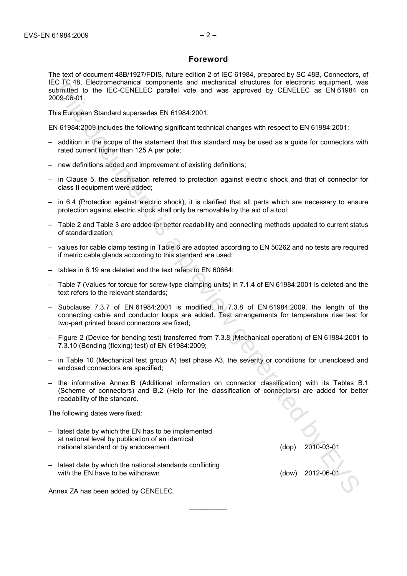# **Foreword**

The text of document 48B/1927/FDIS, future edition 2 of IEC 61984, prepared by SC 48B, Connectors, of IEC TC 48, Electromechanical components and mechanical structures for electronic equipment, was submitted to the IEC-CENELEC parallel vote and was approved by CENELEC as EN 61984 on 2009-06-01. ECT 48, Bestromechanical comprenents and mechanical structures for efectronic equipment, with the RIS constrained by CENELEC as EN 61984<br>
26. This heliocomediation compressions and was approved by CENELEC as EN 61984<br>
200

This European Standard supersedes EN 61984:2001.

EN 61984:2009 includes the following significant technical changes with respect to EN 61984:2001:

- addition in the scope of the statement that this standard may be used as a guide for connectors with rated current higher than 125 A per pole;
- new definitions added and improvement of existing definitions;
- in Clause 5, the classification referred to protection against electric shock and that of connector for class II equipment were added;
- in 6.4 (Protection against electric shock), it is clarified that all parts which are necessary to ensure protection against electric shock shall only be removable by the aid of a tool;
- Table 2 and Table 3 are added for better readability and connecting methods updated to current status of standardization;
- values for cable clamp testing in Table 6 are adopted according to EN 50262 and no tests are required if metric cable glands according to this standard are used;
- tables in 6.19 are deleted and the text refers to EN 60664;
- Table 7 (Values for torque for screw-type clamping units) in 7.1.4 of EN 61984:2001 is deleted and the text refers to the relevant standards;
- Subclause 7.3.7 of EN 61984:2001 is modified. In 7.3.8 of EN 61984:2009, the length of the connecting cable and conductor loops are added. Test arrangements for temperature rise test for two-part printed board connectors are fixed;
- Figure 2 (Device for bending test) transferred from 7.3.8 (Mechanical operation) of EN 61984:2001 to 7.3.10 (Bending (flexing) test) of EN 61984:2009;
- in Table 10 (Mechanical test group A) test phase A3, the severity or conditions for unenclosed and enclosed connectors are specified;
- the informative Annex B (Additional information on connector classification) with its Tables B.1 (Scheme of connectors) and B.2 (Help for the classification of connectors) are added for better readability of the standard.

 $\frac{1}{2}$ 

The following dates were fixed:

- latest date by which the EN has to be implemented at national level by publication of an identical national standard or by endorsement (dop) 2010-03-01
- latest date by which the national standards conflicting with the EN have to be withdrawn  $(100)(100)(100)$  and  $(2012-06-0)(100)$

Annex ZA has been added by CENELEC.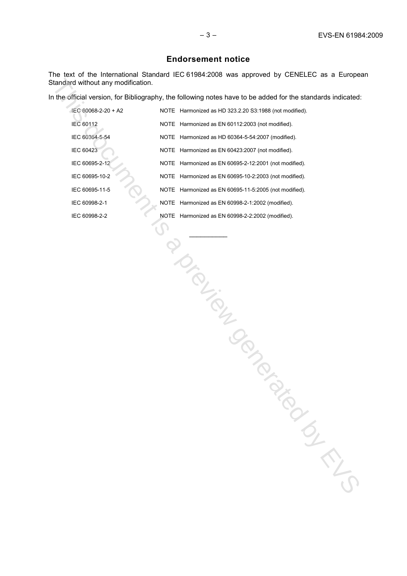# **Endorsement notice**

The text of the International Standard IEC 61984:2008 was approved by CENELEC as a European Standard without any modification.

| Itandard without any modification. |                                                                                                             |
|------------------------------------|-------------------------------------------------------------------------------------------------------------|
|                                    | n the official version, for Bibliography, the following notes have to be added for the standards indicated: |
| IEC 60068-2-20 + A2                | NOTE Harmonized as HD 323.2.20 S3:1988 (not modified).                                                      |
| <b>IEC 60112</b>                   | NOTE Harmonized as EN 60112:2003 (not modified).                                                            |
| IEC 60364-5-54                     | NOTE Harmonized as HD 60364-5-54:2007 (modified).                                                           |
| IEC 60423                          | NOTE Harmonized as EN 60423:2007 (not modified).                                                            |
| IEC 60695-2-12                     | NOTE Harmonized as EN 60695-2-12:2001 (not modified).                                                       |
| IEC 60695-10-2                     | NOTE Harmonized as EN 60695-10-2:2003 (not modified).                                                       |
| IEC 60695-11-5                     | NOTE Harmonized as EN 60695-11-5:2005 (not modified).                                                       |
| IEC 60998-2-1                      | NOTE Harmonized as EN 60998-2-1:2002 (modified).                                                            |
| IEC 60998-2-2                      | NOTE Harmonized as EN 60998-2-2:2002 (modified).                                                            |
|                                    | IDID TON BOOM<br>oly                                                                                        |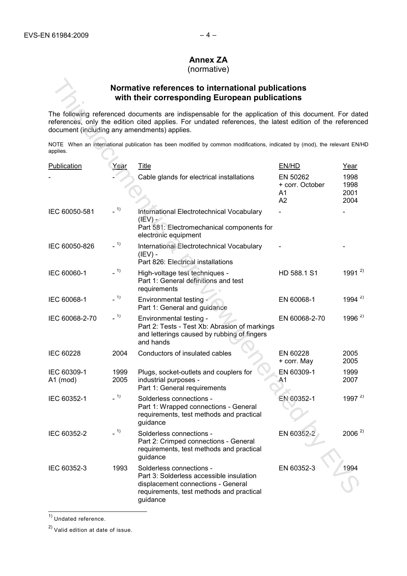# **Annex ZA**

(normative)

# **Normative references to international publications with their corresponding European publications**

|                                              |              | Normative references to international publications<br>with their corresponding European publications                                                                                                           |                                         |                              |
|----------------------------------------------|--------------|----------------------------------------------------------------------------------------------------------------------------------------------------------------------------------------------------------------|-----------------------------------------|------------------------------|
| document (including any amendments) applies. |              | The following referenced documents are indispensable for the application of this document. For date<br>references, only the edition cited applies. For undated references, the latest edition of the reference |                                         |                              |
| applies.                                     |              | NOTE When an international publication has been modified by common modifications, indicated by (mod), the relevant EN/HI                                                                                       |                                         |                              |
| <b>Publication</b>                           | Year         | <b>Title</b>                                                                                                                                                                                                   | EN/HD                                   | Year                         |
|                                              |              | Cable glands for electrical installations                                                                                                                                                                      | EN 50262<br>+ corr. October<br>A1<br>A2 | 1998<br>1998<br>2001<br>2004 |
| IEC 60050-581                                | $-1)$        | International Electrotechnical Vocabulary<br>$(IFV)$ -<br>Part 581: Electromechanical components for<br>electronic equipment                                                                                   |                                         |                              |
| IEC 60050-826                                | $-1)$        | International Electrotechnical Vocabulary<br>$(IEV)$ -<br>Part 826: Electrical installations                                                                                                                   |                                         |                              |
| IEC 60060-1                                  | $-1)$        | High-voltage test techniques -<br>Part 1: General definitions and test<br>requirements                                                                                                                         | HD 588.1 S1                             | 1991 $^{2}$                  |
| IEC 60068-1                                  | $-1)$        | Environmental testing<br>Part 1: General and guidance                                                                                                                                                          | EN 60068-1                              | 1994 $^{2)}$                 |
| IEC 60068-2-70                               | $-1)$        | Environmental testing -<br>Part 2: Tests - Test Xb: Abrasion of markings<br>and letterings caused by rubbing of fingers<br>and hands                                                                           | EN 60068-2-70                           | 1996 $^{2)}$                 |
| <b>IEC 60228</b>                             | 2004         | Conductors of insulated cables                                                                                                                                                                                 | EN 60228<br>+ corr. May                 | 2005<br>2005                 |
| IEC 60309-1<br>$A1$ (mod)                    | 1999<br>2005 | Plugs, socket-outlets and couplers for<br>industrial purposes -<br>Part 1: General requirements                                                                                                                | EN 60309-1<br>A <sub>1</sub>            | 1999<br>2007                 |
| IEC 60352-1                                  | $-1)$        | Solderless connections -<br>Part 1: Wrapped connections - General<br>requirements, test methods and practical<br>guidance                                                                                      | EN 60352-1                              | 1997 $^{2)}$                 |
| IEC 60352-2                                  | $-1)$        | Solderless connections -<br>Part 2: Crimped connections - General<br>requirements, test methods and practical<br>guidance                                                                                      | EN 60352-2                              | $2006^{2}$                   |
| IEC 60352-3                                  | 1993         | Solderless connections -<br>Part 3: Solderless accessible insulation<br>displacement connections - General<br>requirements, test methods and practical<br>guidance                                             | EN 60352-3                              | 1994                         |

<sup>1)</sup> Undated reference.

 $\overline{a}$ 

2) Valid edition at date of issue.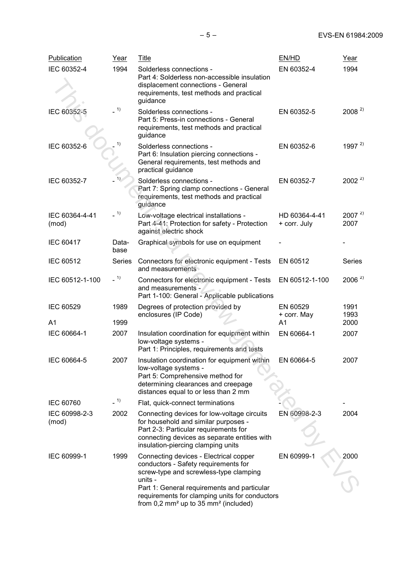| <b>Publication</b>      | Year          | <b>Title</b>                                                                                                                                                                                                       | EN/HD                         | Year               |
|-------------------------|---------------|--------------------------------------------------------------------------------------------------------------------------------------------------------------------------------------------------------------------|-------------------------------|--------------------|
| IEC 60352-4             | 1994          | Solderless connections -<br>Part 4: Solderless non-accessible insulation<br>displacement connections - General<br>requirements, test methods and practical<br>guidance                                             | EN 60352-4                    | 1994               |
| IEC 60352-5             | 1)            | Solderless connections -<br>Part 5: Press-in connections - General<br>requirements, test methods and practical<br>guidance                                                                                         | EN 60352-5                    | $2008^{2}$         |
| IEC 60352-6             | 1)            | Solderless connections -<br>Part 6: Insulation piercing connections -<br>General requirements, test methods and<br>practical guidance                                                                              | EN 60352-6                    | 1997 $^{2)}$       |
| IEC 60352-7             | 1)            | Solderless connections -<br>Part 7: Spring clamp connections - General<br>requirements, test methods and practical<br>guidance                                                                                     | EN 60352-7                    | $2002^{2}$         |
| IEC 60364-4-41<br>(mod) | $-1)$         | Low-voltage electrical installations -<br>Part 4-41: Protection for safety - Protection<br>against electric shock                                                                                                  | HD 60364-4-41<br>+ corr. July | $2007^{2}$<br>2007 |
| <b>IEC 60417</b>        | Data-<br>base | Graphical symbols for use on equipment                                                                                                                                                                             |                               |                    |
| IEC 60512               | Series        | Connectors for electronic equipment - Tests<br>and measurements                                                                                                                                                    | EN 60512                      | Series             |
| IEC 60512-1-100         | $-1)$         | Connectors for electronic equipment - Tests<br>and measurements -<br>Part 1-100: General - Applicable publications                                                                                                 | EN 60512-1-100                | $2006^{2}$         |
| IEC 60529               | 1989          | Degrees of protection provided by<br>enclosures (IP Code)                                                                                                                                                          | EN 60529<br>+ corr. May       | 1991<br>1993       |
| A <sub>1</sub>          | 1999          |                                                                                                                                                                                                                    | A <sub>1</sub>                | 2000               |
| IEC 60664-1             | 2007          | Insulation coordination for equipment within<br>low-voltage systems -<br>Part 1: Principles, requirements and tests                                                                                                | EN 60664-1                    | 2007               |
| IEC 60664-5             | 2007          | Insulation coordination for equipment within<br>low-voltage systems -<br>Part 5: Comprehensive method for<br>determining clearances and creepage<br>distances equal to or less than 2 mm                           | EN 60664-5                    | 2007               |
| <b>IEC 60760</b>        | $-1)$         | Flat, quick-connect terminations                                                                                                                                                                                   |                               |                    |
| IEC 60998-2-3<br>(mod)  | 2002          | Connecting devices for low-voltage circuits<br>for household and similar purposes -<br>Part 2-3: Particular requirements for<br>connecting devices as separate entities with<br>insulation-piercing clamping units | EN 60998-2-3                  | 2004               |
| IEC 60999-1             | 1999          | Connecting devices - Electrical copper<br>conductors - Safety requirements for<br>screw-type and screwless-type clamping<br>units -                                                                                | EN 60999-1                    | 2000               |
|                         |               | Part 1: General requirements and particular<br>requirements for clamping units for conductors<br>from $0.2$ mm <sup>2</sup> up to 35 mm <sup>2</sup> (included)                                                    |                               |                    |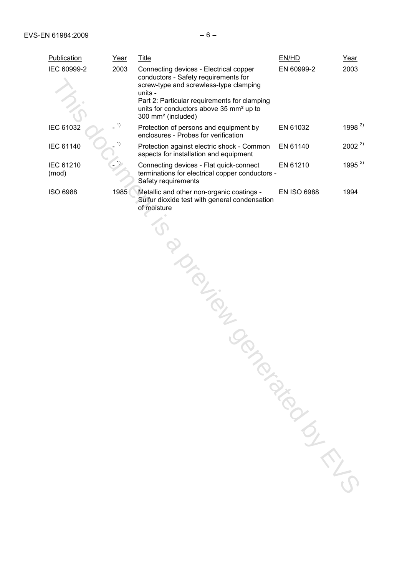| Publication               | Year | <b>Title</b>                                                                                                                                                                                                                                                                 | EN/HD                           | Year         |
|---------------------------|------|------------------------------------------------------------------------------------------------------------------------------------------------------------------------------------------------------------------------------------------------------------------------------|---------------------------------|--------------|
| IEC 60999-2               | 2003 | Connecting devices - Electrical copper<br>conductors - Safety requirements for<br>screw-type and screwless-type clamping<br>units -<br>Part 2: Particular requirements for clamping<br>units for conductors above 35 mm <sup>2</sup> up to<br>300 mm <sup>2</sup> (included) | EN 60999-2                      | 2003         |
| <b>IEC 61032</b>          | 1)   | Protection of persons and equipment by<br>enclosures - Probes for verification                                                                                                                                                                                               | EN 61032                        | $1998^{2}$   |
| <b>IEC 61140</b>          | 1)   | Protection against electric shock - Common<br>aspects for installation and equipment                                                                                                                                                                                         | EN 61140                        | $2002^{2}$   |
| <b>IEC 61210</b><br>(mod) | 1)   | Connecting devices - Flat quick-connect<br>terminations for electrical copper conductors -<br>Safety requirements                                                                                                                                                            | EN 61210                        | 1995 $^{2)}$ |
| <b>ISO 6988</b>           | 1985 | Metallic and other non-organic coatings -<br>Sulfur dioxide test with general condensation<br>of moisture<br><b>PLIEN</b>                                                                                                                                                    | <b>EN ISO 6988</b><br>TON BIROK | 1994         |
|                           |      |                                                                                                                                                                                                                                                                              |                                 |              |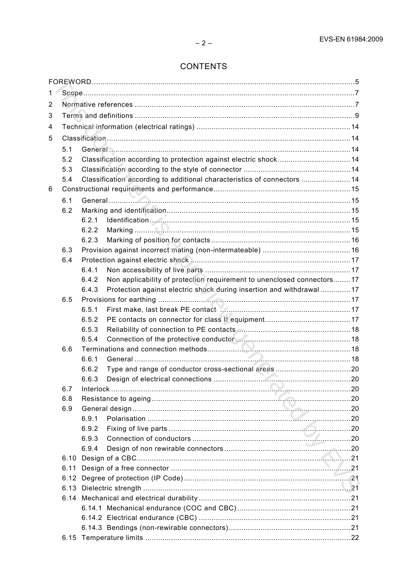# **CONTENTS**

| 1 |     |                |                                                                          |  |  |  |  |
|---|-----|----------------|--------------------------------------------------------------------------|--|--|--|--|
| 2 |     |                |                                                                          |  |  |  |  |
| 3 |     |                |                                                                          |  |  |  |  |
| 4 |     |                |                                                                          |  |  |  |  |
| 5 |     |                |                                                                          |  |  |  |  |
|   | 5.1 |                |                                                                          |  |  |  |  |
|   | 5.2 |                | Classification according to protection against electric shock 14         |  |  |  |  |
|   | 5.3 |                |                                                                          |  |  |  |  |
|   | 5.4 |                | Classification according to additional characteristics of connectors  14 |  |  |  |  |
| 6 |     |                |                                                                          |  |  |  |  |
|   | 6.1 |                |                                                                          |  |  |  |  |
|   | 6.2 |                |                                                                          |  |  |  |  |
|   |     | 6.2.1          |                                                                          |  |  |  |  |
|   |     | 6.2.2          |                                                                          |  |  |  |  |
|   |     | 6.2.3          |                                                                          |  |  |  |  |
|   | 6.3 |                |                                                                          |  |  |  |  |
|   | 6.4 |                |                                                                          |  |  |  |  |
|   |     | 6.4.1          |                                                                          |  |  |  |  |
|   |     | 6.4.2          | Non applicability of protection requirement to unenclosed connectors17   |  |  |  |  |
|   |     | 6.4.3          | Protection against electric shock during insertion and withdrawal  17    |  |  |  |  |
|   | 6.5 |                |                                                                          |  |  |  |  |
|   |     | 6.5.1          |                                                                          |  |  |  |  |
|   |     | 6.5.2          |                                                                          |  |  |  |  |
|   |     | 6.5.3          |                                                                          |  |  |  |  |
|   |     | 6.5.4          |                                                                          |  |  |  |  |
|   | 6.6 |                |                                                                          |  |  |  |  |
|   |     | 6.6.1          |                                                                          |  |  |  |  |
|   |     | 6.6.2          |                                                                          |  |  |  |  |
|   |     | 6.6.3          | $\sim$ 20<br>Design of electrical connections                            |  |  |  |  |
|   | 6.7 |                |                                                                          |  |  |  |  |
|   | 6.8 |                |                                                                          |  |  |  |  |
|   | 6.9 |                |                                                                          |  |  |  |  |
|   |     | 6.9.1          |                                                                          |  |  |  |  |
|   |     | 6.9.2<br>6.9.3 |                                                                          |  |  |  |  |
|   |     | 6.9.4          |                                                                          |  |  |  |  |
|   |     |                |                                                                          |  |  |  |  |
|   |     |                |                                                                          |  |  |  |  |
|   |     |                |                                                                          |  |  |  |  |
|   |     |                |                                                                          |  |  |  |  |
|   |     |                |                                                                          |  |  |  |  |
|   |     |                |                                                                          |  |  |  |  |
|   |     |                |                                                                          |  |  |  |  |
|   |     |                |                                                                          |  |  |  |  |
|   |     |                |                                                                          |  |  |  |  |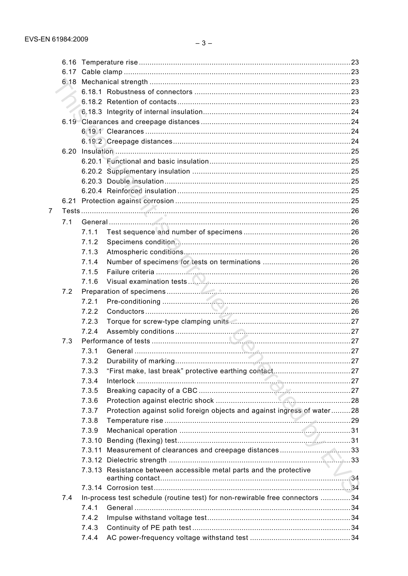|   | 6.20 |        |                                                                               |  |
|---|------|--------|-------------------------------------------------------------------------------|--|
|   |      |        |                                                                               |  |
|   |      |        |                                                                               |  |
|   |      |        |                                                                               |  |
|   |      |        |                                                                               |  |
|   |      |        |                                                                               |  |
| 7 |      |        |                                                                               |  |
|   | 7.1  |        |                                                                               |  |
|   |      | 7.1.1  |                                                                               |  |
|   |      | 7.1.2  |                                                                               |  |
|   |      | 7.1.3  |                                                                               |  |
|   |      | 7.1.4  |                                                                               |  |
|   |      | 7.1.5  |                                                                               |  |
|   |      | 7.1.6  |                                                                               |  |
|   | 7.2  |        |                                                                               |  |
|   |      | 7.2.1  |                                                                               |  |
|   |      | 7.2.2  |                                                                               |  |
|   |      | 7.2.3  |                                                                               |  |
|   |      | 7.2.4  |                                                                               |  |
|   | 7.3  |        |                                                                               |  |
|   |      | 7.3.1  |                                                                               |  |
|   |      | 7.3.2  |                                                                               |  |
|   |      | 7.3.3  |                                                                               |  |
|   |      | 7.3.4  |                                                                               |  |
|   |      | 7.3.5  |                                                                               |  |
|   |      | 7.3.6  |                                                                               |  |
|   |      | 7.3.7  | Protection against solid foreign objects and against ingress of water28       |  |
|   |      | 7.3.8  |                                                                               |  |
|   |      | 7.3.9  |                                                                               |  |
|   |      | 7.3.10 |                                                                               |  |
|   |      |        | 7.3.11 Measurement of clearances and creepage distances33                     |  |
|   |      |        |                                                                               |  |
|   |      |        | 7.3.13 Resistance between accessible metal parts and the protective           |  |
|   |      |        |                                                                               |  |
|   | 7.4  |        | In-process test schedule (routine test) for non-rewirable free connectors  34 |  |
|   |      | 7.4.1  |                                                                               |  |
|   |      | 7.4.2  |                                                                               |  |
|   |      | 7.4.3  |                                                                               |  |
|   |      | 7.4.4  |                                                                               |  |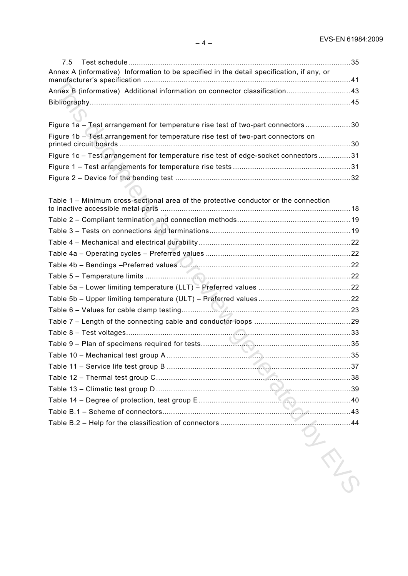| 7.5                                                                                       |  |
|-------------------------------------------------------------------------------------------|--|
| Annex A (informative) Information to be specified in the detail specification, if any, or |  |
| Annex B (informative) Additional information on connector classification 43               |  |
|                                                                                           |  |
|                                                                                           |  |
| Figure 1a - Test arrangement for temperature rise test of two-part connectors 30          |  |
| Figure 1b - Test arrangement for temperature rise test of two-part connectors on          |  |
| Figure 1c - Test arrangement for temperature rise test of edge-socket connectors31        |  |
|                                                                                           |  |
|                                                                                           |  |
|                                                                                           |  |
| Table 1 - Minimum cross-sectional area of the protective conductor or the connection      |  |
|                                                                                           |  |
|                                                                                           |  |
| Table 4 – Mechanical and electrical durability…………………………………………………………………22                 |  |
| Table 4a – Operating cycles – Preferred values…………………………………………………………22                    |  |
|                                                                                           |  |
|                                                                                           |  |
| Table 5a – Lower limiting temperature (LLT) – Preferred values ……………………………………22           |  |
|                                                                                           |  |
|                                                                                           |  |
|                                                                                           |  |
|                                                                                           |  |
|                                                                                           |  |
|                                                                                           |  |
|                                                                                           |  |
|                                                                                           |  |
|                                                                                           |  |
|                                                                                           |  |
|                                                                                           |  |
|                                                                                           |  |
|                                                                                           |  |
|                                                                                           |  |
|                                                                                           |  |
|                                                                                           |  |

**S.2 – Connection of Connection of Connection of Connection of Connection of Connection of Connection of Connection of Connection of Connection of Connection of Connection of Connection of Connection of Connection of Conne**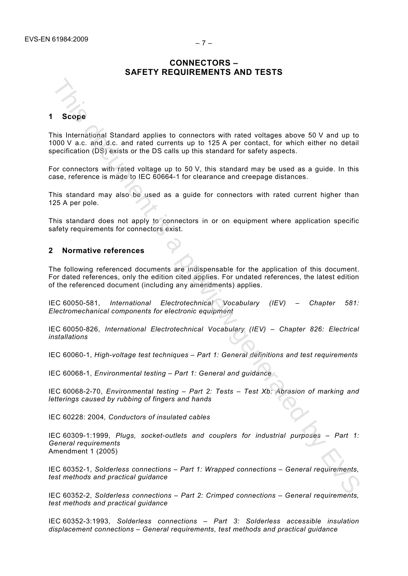# **CONNECTORS – SAFETY REQUIREMENTS AND TESTS**

**1 Scope** 

This International Standard applies to connectors with rated voltages above 50 V and up to 1000 V a.c. and d.c. and rated currents up to 125 A per contact, for which either no detail specification (DS) exists or the DS calls up this standard for safety aspects. **Scope**<br>
This International Standard applies to connectors with ratted voltages above 50 V and up to<br>
2000/callo motion scale of the Diversion up to standard review generated by the connection<br>
from connection such that t

For connectors with rated voltage up to 50 V, this standard may be used as a guide. In this case, reference is made to IEC 60664-1 for clearance and creepage distances.

This standard may also be used as a guide for connectors with rated current higher than 125 A per pole.

This standard does not apply to connectors in or on equipment where application specific safety requirements for connectors exist.

# **2 Normative references**

The following referenced documents are indispensable for the application of this document. For dated references, only the edition cited applies. For undated references, the latest edition of the referenced document (including any amendments) applies.

IEC 60050-581, *International Electrotechnical Vocabulary (IEV) – Chapter 581: Electromechanical components for electronic equipment* 

IEC 60050-826, *International Electrotechnical Vocabulary (IEV) – Chapter 826: Electrical installations* 

IEC 60060-1, *High-voltage test techniques – Part 1: General definitions and test requirements* 

IEC 60068-1, *Environmental testing – Part 1: General and guidance*

IEC 60068-2-70, *Environmental testing – Part 2: Tests – Test Xb: Abrasion of marking and letterings caused by rubbing of fingers and hands* 

IEC 60228: 2004*, Conductors of insulated cables*

IEC 60309-1:1999, *Plugs, socket-outlets and couplers for industrial purposes – Part 1: General requirements* Amendment 1 (2005)

IEC 60352-1, *Solderless connections – Part 1: Wrapped connections – General requirements, test methods and practical guidance* 

IEC 60352-2, *Solderless connections – Part 2: Crimped connections – General requirements, test methods and practical guidance*

IEC 60352-3:1993, *Solderless connections – Part 3: Solderless accessible insulation displacement connections – General requirements, test methods and practical guidance*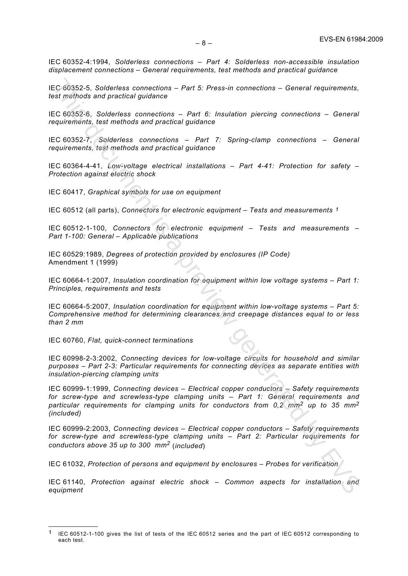IEC 60352-5, *Solderless connections – Part 5: Press-in connections – General requirements, test methods and practical guidance* 

IEC 60352-6, *Solderless connections – Part 6: Insulation piercing connections – General requirements, test methods and practical guidance* 

IEC 60352-7, *Solderless connections – Part 7: Spring-clamp connections – General requirements, test methods and practical guidance* 

IEC 60364-4-41, *Low-voltage electrical installations – Part 4-41: Protection for safety – Protection against electric shock*

IEC 60417, *Graphical symbols for use on equipment* 

IEC 60512 (all parts), *Connectors for electronic equipment – Tests and measurements 1*

IEC 60512-1-100, *Connectors for electronic equipment – Tests and measurements – Part 1-100: General – Applicable publications* 

IEC 60529:1989, *Degrees of protection provided by enclosures (IP Code)*  Amendment 1 (1999)

IEC 60664-1:2007, *Insulation coordination for equipment within low voltage systems – Part 1: Principles, requirements and tests* 

IEC 60664-5:2007*, Insulation coordination for equipment within low-voltage systems – Part 5: Comprehensive method for determining clearances and creepage distances equal to or less than 2 mm* 

IEC 60760, *Flat, quick-connect terminations*

—————————

IEC 60998-2-3:2002, *Connecting devices for low-voltage circuits for household and similar purposes – Part 2-3: Particular requirements for connecting devices as separate entities with insulation-piercing clamping units*

IEC 60999-1:1999, *Connecting devices – Electrical copper conductors – Safety requirements for screw-type and screwless-type clamping units – Part 1: General requirements and particular requirements for clamping units for conductors from 0,2 mm2 up to 35 mm2 (included)*  EC 60352-5, Solderleas connections – Part 5: Press-in connections – General requirements,<br>est methods and practical guidance<br>EC 60352-5, Solderleas connections – Part 6: Insulation piercing connections – General<br>equirement

IEC 60999-2:2003, *Connecting devices – Electrical copper conductors – Safety requirements for screw-type and screwless-type clamping units – Part 2: Particular requirements for conductors above 35 up to 300 mm<sup>2</sup>* (*included*)

IEC 61032, *Protection of persons and equipment by enclosures – Probes for verification*

IEC 61140, *Protection against electric shock – Common aspects for installation and equipment* 

<sup>1</sup> IEC 60512-1-100 gives the list of tests of the IEC 60512 series and the part of IEC 60512 corresponding to each test.